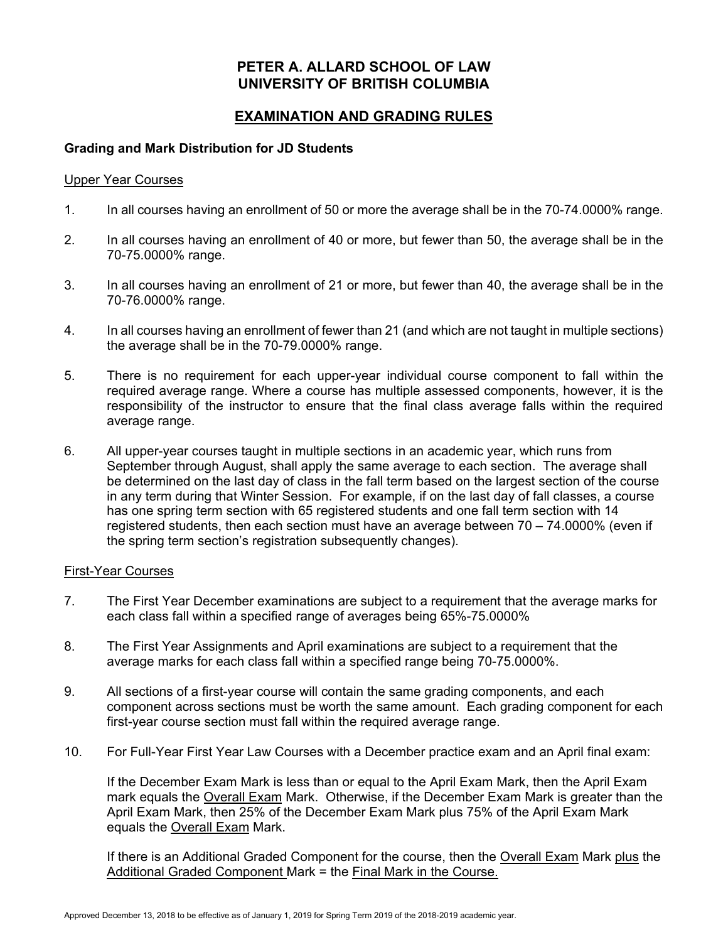## **PETER A. ALLARD SCHOOL OF LAW UNIVERSITY OF BRITISH COLUMBIA**

# **EXAMINATION AND GRADING RULES**

### **Grading and Mark Distribution for JD Students**

#### Upper Year Courses

- 1. In all courses having an enrollment of 50 or more the average shall be in the 70-74.0000% range.
- 2. In all courses having an enrollment of 40 or more, but fewer than 50, the average shall be in the 70-75.0000% range.
- 3. In all courses having an enrollment of 21 or more, but fewer than 40, the average shall be in the 70-76.0000% range.
- 4. In all courses having an enrollment of fewer than 21 (and which are not taught in multiple sections) the average shall be in the 70-79.0000% range.
- 5. There is no requirement for each upper-year individual course component to fall within the required average range. Where a course has multiple assessed components, however, it is the responsibility of the instructor to ensure that the final class average falls within the required average range.
- 6. All upper-year courses taught in multiple sections in an academic year, which runs from September through August, shall apply the same average to each section. The average shall be determined on the last day of class in the fall term based on the largest section of the course in any term during that Winter Session. For example, if on the last day of fall classes, a course has one spring term section with 65 registered students and one fall term section with 14 registered students, then each section must have an average between 70 – 74.0000% (even if the spring term section's registration subsequently changes).

#### First-Year Courses

- 7. The First Year December examinations are subject to a requirement that the average marks for each class fall within a specified range of averages being 65%-75.0000%
- 8. The First Year Assignments and April examinations are subject to a requirement that the average marks for each class fall within a specified range being 70-75.0000%.
- 9. All sections of a first-year course will contain the same grading components, and each component across sections must be worth the same amount. Each grading component for each first-year course section must fall within the required average range.
- 10. For Full-Year First Year Law Courses with a December practice exam and an April final exam:

If the December Exam Mark is less than or equal to the April Exam Mark, then the April Exam mark equals the Overall Exam Mark. Otherwise, if the December Exam Mark is greater than the April Exam Mark, then 25% of the December Exam Mark plus 75% of the April Exam Mark equals the Overall Exam Mark.

If there is an Additional Graded Component for the course, then the Overall Exam Mark plus the Additional Graded Component Mark = the Final Mark in the Course.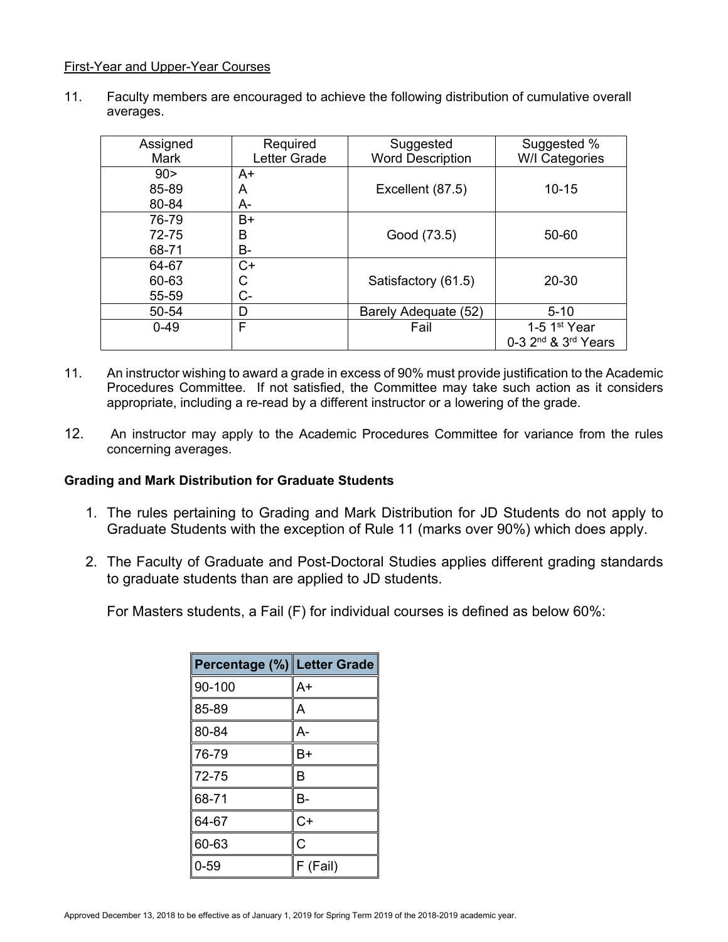#### First-Year and Upper-Year Courses

11. Faculty members are encouraged to achieve the following distribution of cumulative overall averages.

| Assigned<br>Mark | Required<br>Letter Grade | Suggested<br><b>Word Description</b> | Suggested %<br>W/I Categories               |
|------------------|--------------------------|--------------------------------------|---------------------------------------------|
| 90 >             | A+                       |                                      |                                             |
|                  |                          |                                      |                                             |
| 85-89            | A                        | Excellent (87.5)                     | $10 - 15$                                   |
| 80-84            | A-                       |                                      |                                             |
| 76-79            | $B+$                     |                                      |                                             |
| 72-75            | B                        | Good (73.5)                          | 50-60                                       |
| 68-71            | <b>B-</b>                |                                      |                                             |
| 64-67            | $C+$                     |                                      |                                             |
| 60-63            | С                        | Satisfactory (61.5)                  | 20-30                                       |
| 55-59            | C-                       |                                      |                                             |
| 50-54            | D                        | Barely Adequate (52)                 | $5 - 10$                                    |
| $0 - 49$         | F                        | Fail                                 | 1-5 $1st$ Year                              |
|                  |                          |                                      | 0-3 2 <sup>nd</sup> & 3 <sup>rd</sup> Years |

- 11. An instructor wishing to award a grade in excess of 90% must provide justification to the Academic Procedures Committee. If not satisfied, the Committee may take such action as it considers appropriate, including a re-read by a different instructor or a lowering of the grade.
- 12. An instructor may apply to the Academic Procedures Committee for variance from the rules concerning averages.

#### **Grading and Mark Distribution for Graduate Students**

- 1. The rules pertaining to Grading and Mark Distribution for JD Students do not apply to Graduate Students with the exception of Rule 11 (marks over 90%) which does apply.
- 2. The Faculty of Graduate and Post-Doctoral Studies applies different grading standards to graduate students than are applied to JD students.

For Masters students, a Fail (F) for individual courses is defined as below 60%:

| Percentage (%) Letter Grade |          |
|-----------------------------|----------|
| 90-100                      | A+       |
| 85-89                       | А        |
| 80-84                       | А-       |
| 76-79                       | B+       |
| 72-75                       | B        |
| 68-71                       | В-       |
| 64-67                       | C+       |
| 60-63                       | Ċ        |
| 0-59                        | F (Fail) |